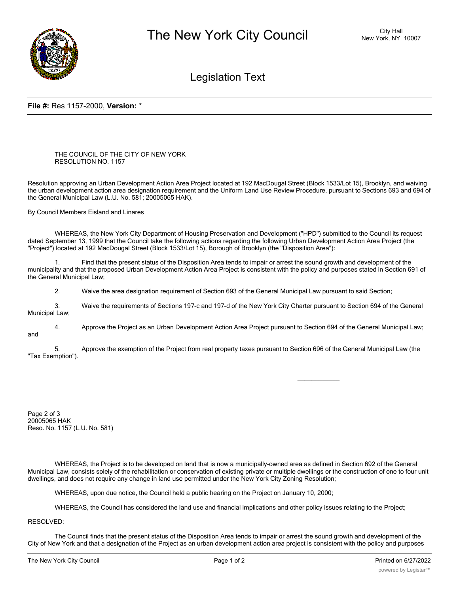

## Legislation Text

## **File #:** Res 1157-2000, **Version:** \*

THE COUNCIL OF THE CITY OF NEW YORK RESOLUTION NO. 1157

Resolution approving an Urban Development Action Area Project located at 192 MacDougal Street (Block 1533/Lot 15), Brooklyn, and waiving the urban development action area designation requirement and the Uniform Land Use Review Procedure, pursuant to Sections 693 and 694 of the General Municipal Law (L.U. No. 581; 20005065 HAK).

By Council Members Eisland and Linares

WHEREAS, the New York City Department of Housing Preservation and Development ("HPD") submitted to the Council its request dated September 13, 1999 that the Council take the following actions regarding the following Urban Development Action Area Project (the "Project") located at 192 MacDougal Street (Block 1533/Lot 15), Borough of Brooklyn (the "Disposition Area"):

Find that the present status of the Disposition Area tends to impair or arrest the sound growth and development of the municipality and that the proposed Urban Development Action Area Project is consistent with the policy and purposes stated in Section 691 of the General Municipal Law;

2. Waive the area designation requirement of Section 693 of the General Municipal Law pursuant to said Section;

3. Waive the requirements of Sections 197-c and 197-d of the New York City Charter pursuant to Section 694 of the General Municipal Law;

4. Approve the Project as an Urban Development Action Area Project pursuant to Section 694 of the General Municipal Law; and

5. Approve the exemption of the Project from real property taxes pursuant to Section 696 of the General Municipal Law (the "Tax Exemption").

 $\overline{\phantom{a}}$ 

Page 2 of 3 20005065 HAK Reso. No. 1157 (L.U. No. 581)

WHEREAS, the Project is to be developed on land that is now a municipally-owned area as defined in Section 692 of the General Municipal Law, consists solely of the rehabilitation or conservation of existing private or multiple dwellings or the construction of one to four unit dwellings, and does not require any change in land use permitted under the New York City Zoning Resolution;

WHEREAS, upon due notice, the Council held a public hearing on the Project on January 10, 2000;

WHEREAS, the Council has considered the land use and financial implications and other policy issues relating to the Project;

RESOLVED:

The Council finds that the present status of the Disposition Area tends to impair or arrest the sound growth and development of the City of New York and that a designation of the Project as an urban development action area project is consistent with the policy and purposes

stated in Section 691 of the General Municipal Australian Construction 691 of the General Municipal Law.